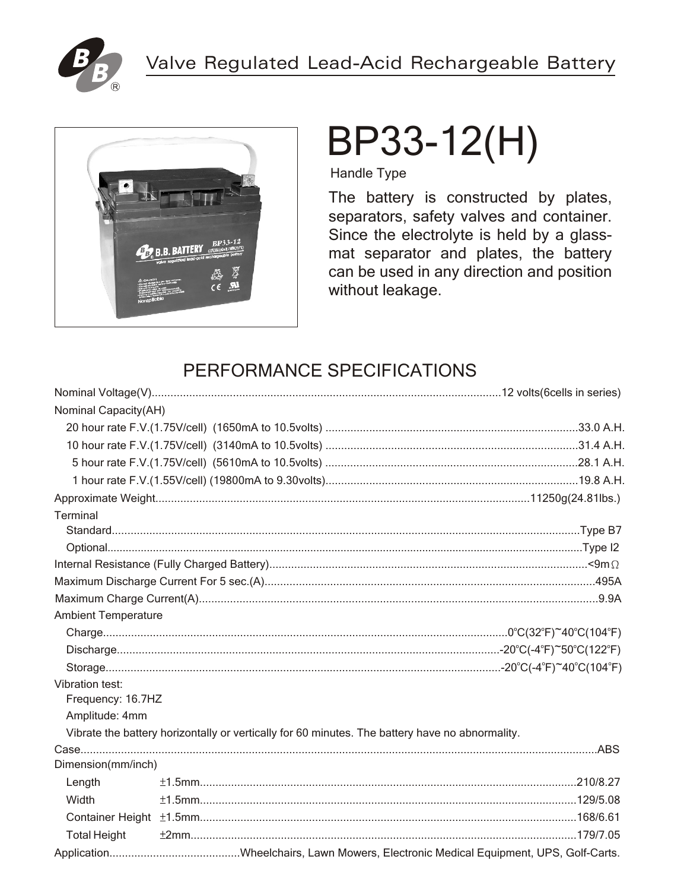



# BP33-12(H)

**Handle Type** 

The battery is constructed by plates, separators, safety valves and container. Since the electrolyte is held by a glassmat separator and plates, the battery can be used in any direction and position without leakage.

### PERFORMANCE SPECIFICATIONS

| Nominal Capacity(AH)       |                                                                                                 |  |  |  |  |  |
|----------------------------|-------------------------------------------------------------------------------------------------|--|--|--|--|--|
|                            |                                                                                                 |  |  |  |  |  |
|                            |                                                                                                 |  |  |  |  |  |
|                            |                                                                                                 |  |  |  |  |  |
|                            |                                                                                                 |  |  |  |  |  |
|                            |                                                                                                 |  |  |  |  |  |
| Terminal                   |                                                                                                 |  |  |  |  |  |
|                            |                                                                                                 |  |  |  |  |  |
|                            |                                                                                                 |  |  |  |  |  |
|                            |                                                                                                 |  |  |  |  |  |
|                            |                                                                                                 |  |  |  |  |  |
|                            |                                                                                                 |  |  |  |  |  |
| <b>Ambient Temperature</b> |                                                                                                 |  |  |  |  |  |
|                            |                                                                                                 |  |  |  |  |  |
|                            |                                                                                                 |  |  |  |  |  |
|                            |                                                                                                 |  |  |  |  |  |
| Vibration test:            |                                                                                                 |  |  |  |  |  |
| Frequency: 16.7HZ          |                                                                                                 |  |  |  |  |  |
| Amplitude: 4mm             |                                                                                                 |  |  |  |  |  |
|                            | Vibrate the battery horizontally or vertically for 60 minutes. The battery have no abnormality. |  |  |  |  |  |
|                            |                                                                                                 |  |  |  |  |  |
| Dimension(mm/inch)         |                                                                                                 |  |  |  |  |  |
| Length                     |                                                                                                 |  |  |  |  |  |
| Width                      |                                                                                                 |  |  |  |  |  |
|                            |                                                                                                 |  |  |  |  |  |
| <b>Total Height</b>        |                                                                                                 |  |  |  |  |  |
|                            |                                                                                                 |  |  |  |  |  |